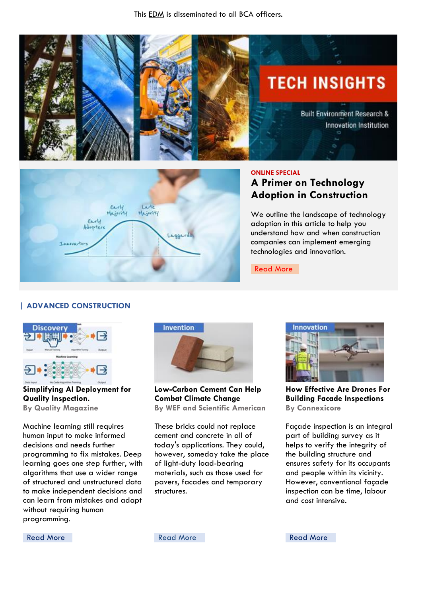



### **ONLINE SPECIAL**

# **A Primer on Technology Adoption in Construction**

We outline the landscape of technology adoption in this article to help you understand how and when construction companies can implement emerging technologies and innovation.

[Read More](https://www.enr.com/articles/48610-a-primer-on-technology-adoption-in-construction)

# **| ADVANCED CONSTRUCTION**



**Simplifying AI Deployment for Quality Inspection. By Quality Magazine**

Machine learning still requires human input to make informed decisions and needs further programming to fix mistakes. Deep learning goes one step further, with algorithms that use a wider range of structured and unstructured data to make independent decisions and can learn from mistakes and adapt without requiring human programming.



**Low-Carbon Cement Can Help Combat Climate Change By WEF and Scientific American**

These bricks could not replace cement and concrete in all of today's applications. They could, however, someday take the place of light-duty load-bearing materials, such as those used for pavers, facades and temporary structures.



**How Effective Are Drones For Building Facade Inspections By Connexicore**

Façade inspection is an integral part of building survey as it helps to verify the integrity of the building structure and ensures safety for its occupants and people within its vicinity. However, conventional façade inspection can be time, labour and cost intensive.

[Read More](https://connexicore.com/how-effective-are-drones-for-building-facade-inspections/) **Read More** Read More **Read More** Read More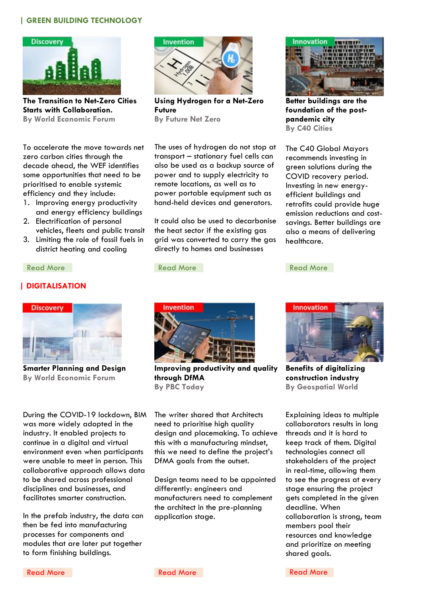# **| GREEN BUILDING TECHNOLOGY**



**The Transition to Net-Zero Cities Starts with Collaboration. By World Economic Forum**

To accelerate the move towards net zero carbon cities through the decade ahead, the WEF identifies some opportunities that need to be prioritised to enable systemic efficiency and they include:

- 1. Improving energy productivity and energy efficiency buildings
- 2. Electrification of personal vehicles, fleets and public transit
- 3. Limiting the role of fossil fuels in district heating and cooling

#### [Read More](https://www.smartcitiesdive.com/news/-investment-priorities-green-covid-19-recovery-report/585090/) **Read More** Read More **Read More** Read More

## **| DIGITALISATION**



**Smarter Planning and Design By World Economic Forum**

During the COVID-19 lockdown, BIM was more widely adopted in the industry. It enabled projects to continue in a digital and virtual environment even when participants were unable to meet in person. This collaborative approach allows data to be shared across professional disciplines and businesses, and facilitates smarter construction.

In the prefab industry, the data can then be fed into manufacturing processes for components and modules that are later put together to form finishing buildings.



**Using Hydrogen for a Net-Zero Future By Future Net Zero**

The uses of hydrogen do not stop at transport – stationary fuel cells can also be used as a backup source of power and to supply electricity to remote locations, as well as to power portable equipment such as hand-held devices and generators.

It could also be used to decarbonise the heat sector if the existing gas grid was converted to carry the gas directly to homes and businesses



**Improving productivity and quality through DfMA By PBC Today** 

The writer shared that Architects need to prioritise high quality design and placemaking. To achieve this with a manufacturing mindset, this we need to define the project's DfMA goals from the outset.

Design teams need to be appointed differently: engineers and manufacturers need to complement the architect in the pre-planning application stage.



**Better buildings are the foundation of the postpandemic city By C40 Cities**

The C40 Global Mayors recommends investing in green solutions during the COVID recovery period. Investing in new energyefficient buildings and retrofits could provide huge emission reductions and costsavings. Better buildings are also a means of delivering healthcare.



**Benefits of digitalizing construction industry By Geospatial World**

Explaining ideas to multiple collaborators results in long threads and it is hard to keep track of them. Digital technologies connect all stakeholders of the project in real-time, allowing them to see the progress at every stage ensuring the project gets completed in the given deadline. When collaboration is strong, team members pool their resources and knowledge and prioritize on meeting shared goals.